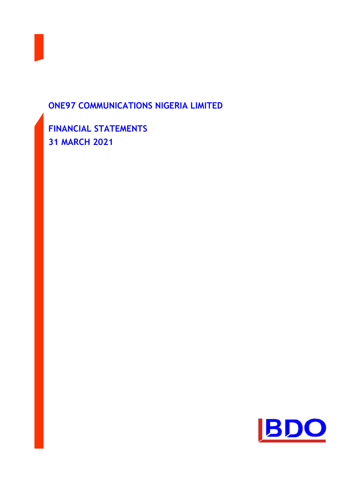

# **ONE97 COMMUNICATIONS NIGERIA LIMITED**

**FINANCIAL STATEMENTS 31 MARCH 2021**

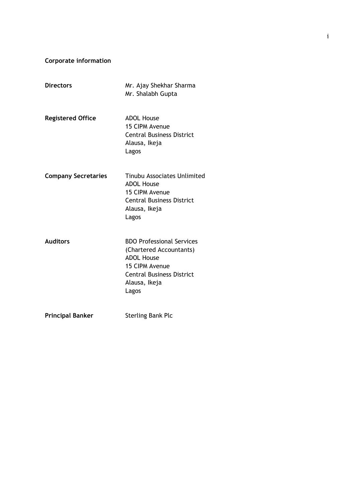**Corporate information**

| <b>Directors</b>           | Mr. Ajay Shekhar Sharma<br>Mr. Shalabh Gupta                                                                                                                     |
|----------------------------|------------------------------------------------------------------------------------------------------------------------------------------------------------------|
| <b>Registered Office</b>   | <b>ADOL House</b><br>15 CIPM Avenue<br><b>Central Business District</b><br>Alausa, Ikeja<br>Lagos                                                                |
| <b>Company Secretaries</b> | <b>Tinubu Associates Unlimited</b><br><b>ADOL House</b><br>15 CIPM Avenue<br><b>Central Business District</b><br>Alausa, Ikeja<br>Lagos                          |
| <b>Auditors</b>            | <b>BDO Professional Services</b><br>(Chartered Accountants)<br><b>ADOL House</b><br>15 CIPM Avenue<br><b>Central Business District</b><br>Alausa, Ikeja<br>Lagos |
| <b>Principal Banker</b>    | <b>Sterling Bank Plc</b>                                                                                                                                         |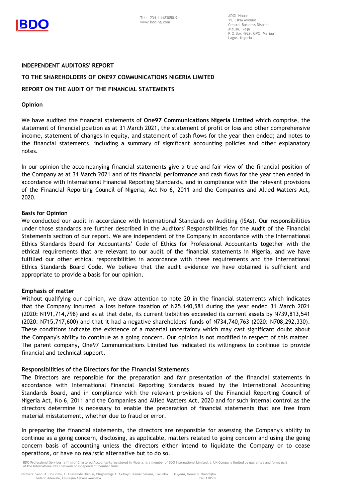

ADOL House 15, CIPM Avenue Central Business District Alausa, Ikeja P.O.Box 4929, GPO, Marina Lagos, Nigeria

#### **INDEPENDENT AUDITORS' REPORT**

#### **TO THE SHAREHOLDERS OF ONE97 COMMUNICATIONS NIGERIA LIMITED**

## **REPORT ON THE AUDIT OF THE FINANCIAL STATEMENTS**

#### **Opinion**

We have audited the financial statements of **One97 Communications Nigeria Limited** which comprise, the statement of financial position as at 31 March 2021, the statement of profit or loss and other comprehensive income, statement of changes in equity, and statement of cash flows for the year then ended; and notes to the financial statements, including a summary of significant accounting policies and other explanatory notes.

In our opinion the accompanying financial statements give a true and fair view of the financial position of the Company as at 31 March 2021 and of its financial performance and cash flows for the year then ended in accordance with International Financial Reporting Standards, and in compliance with the relevant provisions of the Financial Reporting Council of Nigeria, Act No 6, 2011 and the Companies and Allied Matters Act, 2020.

#### **Basis for Opinion**

We conducted our audit in accordance with International Standards on Auditing (ISAs). Our responsibilities under those standards are further described in the Auditors' Responsibilities for the Audit of the Financial Statements section of our report. We are independent of the Company in accordance with the International Ethics Standards Board for Accountants' Code of Ethics for Professional Accountants together with the ethical requirements that are relevant to our audit of the financial statements in Nigeria, and we have fulfilled our other ethical responsibilities in accordance with these requirements and the International Ethics Standards Board Code. We believe that the audit evidence we have obtained is sufficient and appropriate to provide a basis for our opinion.

#### **Emphasis of matter**

Without qualifying our opinion, we draw attention to note 20 in the financial statements which indicates that the Company incurred a loss before taxation of N25,140,581 during the year ended 31 March 2021 (2020: N191,714,798) and as at that date, its current liabilities exceeded its current assets by N739,813,541 (2020: N715,717,600) and that it had a negative shareholders' funds of N734,740,763 (2020: N708,292,330). These conditions indicate the existence of a material uncertainty which may cast significant doubt about the Company's ability to continue as a going concern. Our opinion is not modified in respect of this matter. The parent company, One97 Communications Limited has indicated its willingness to continue to provide financial and technical support.

#### **Responsibilities of the Directors for the Financial Statements**

The Directors are responsible for the preparation and fair presentation of the financial statements in accordance with International Financial Reporting Standards issued by the International Accounting Standards Board, and in compliance with the relevant provisions of the Financial Reporting Council of Nigeria Act, No 6, 2011 and the Companies and Allied Matters Act, 2020 and for such internal control as the directors determine is necessary to enable the preparation of financial statements that are free from material misstatement, whether due to fraud or error.

In preparing the financial statements, the directors are responsible for assessing the Company's ability to continue as a going concern, disclosing, as applicable, matters related to going concern and using the going concern basis of accounting unless the directors either intend to liquidate the Company or to cease operations, or have no realistic alternative but to do so.

BDO Professional Services, a firm of Chartered Accountants registered in Nigeria, is a member of BDO International Limited, a UK Company limited by guarantee and forms part of the International BDO network of independent member firms.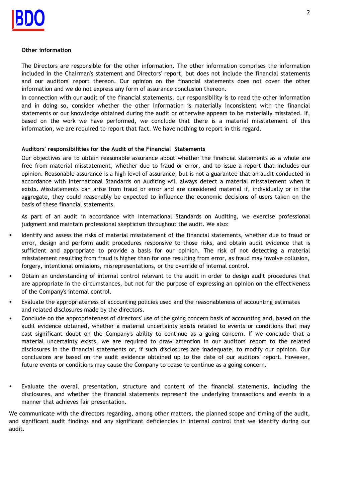#### **Other information**

The Directors are responsible for the other information. The other information comprises the information included in the Chairman's statement and Directors' report, but does not include the financial statements and our auditors' report thereon. Our opinion on the financial statements does not cover the other information and we do not express any form of assurance conclusion thereon.

In connection with our audit of the financial statements, our responsibility is to read the other information and in doing so, consider whether the other information is materially inconsistent with the financial statements or our knowledge obtained during the audit or otherwise appears to be materially misstated. If, based on the work we have performed, we conclude that there is a material misstatement of this information, we are required to report that fact. We have nothing to report in this regard.

## **Auditors' responsibilities for the Audit of the Financial Statements**

Our objectives are to obtain reasonable assurance about whether the financial statements as a whole are free from material misstatement, whether due to fraud or error, and to issue a report that includes our opinion. Reasonable assurance is a high level of assurance, but is not a guarantee that an audit conducted in accordance with International Standards on Auditing will always detect a material misstatement when it exists. Misstatements can arise from fraud or error and are considered material if, individually or in the aggregate, they could reasonably be expected to influence the economic decisions of users taken on the basis of these financial statements.

As part of an audit in accordance with International Standards on Auditing, we exercise professional judgment and maintain professional skepticism throughout the audit. We also:

- Identify and assess the risks of material misstatement of the financial statements, whether due to fraud or error, design and perform audit procedures responsive to those risks, and obtain audit evidence that is sufficient and appropriate to provide a basis for our opinion. The risk of not detecting a material misstatement resulting from fraud is higher than for one resulting from error, as fraud may involve collusion, forgery, intentional omissions, misrepresentations, or the override of internal control.
- Obtain an understanding of internal control relevant to the audit in order to design audit procedures that are appropriate in the circumstances, but not for the purpose of expressing an opinion on the effectiveness of the Company's internal control.
- Evaluate the appropriateness of accounting policies used and the reasonableness of accounting estimates and related disclosures made by the directors.
- Conclude on the appropriateness of directors' use of the going concern basis of accounting and, based on the audit evidence obtained, whether a material uncertainty exists related to events or conditions that may cast significant doubt on the Company's ability to continue as a going concern. If we conclude that a material uncertainty exists, we are required to draw attention in our auditors' report to the related disclosures in the financial statements or, if such disclosures are inadequate, to modify our opinion. Our conclusions are based on the audit evidence obtained up to the date of our auditors' report. However, future events or conditions may cause the Company to cease to continue as a going concern.
- Evaluate the overall presentation, structure and content of the financial statements, including the disclosures, and whether the financial statements represent the underlying transactions and events in a manner that achieves fair presentation.

We communicate with the directors regarding, among other matters, the planned scope and timing of the audit, and significant audit findings and any significant deficiencies in internal control that we identify during our audit.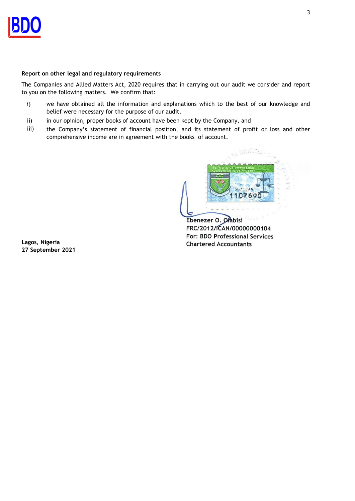## **Report on other legal and regulatory requirements**

The Companies and Allied Matters Act, 2020 requires that in carrying out our audit we consider and report to you on the following matters. We confirm that:

- i) we have obtained all the information and explanations which to the best of our knowledge and belief were necessary for the purpose of our audit.
- ii) in our opinion, proper books of account have been kept by the Company, and
- iii) the Company's statement of financial position, and its statement of profit or loss and other comprehensive income are in agreement with the books of account.



Ebenezer O. Ołabisi FRC/2012/ICAN/00000000104 **For: BDO Professional Services** Lagos, Nigeria **Formal Services Formal Services Formal Services Formal Services Formal Services Formal Services** 

**27 September 2021 Chartered Accountants**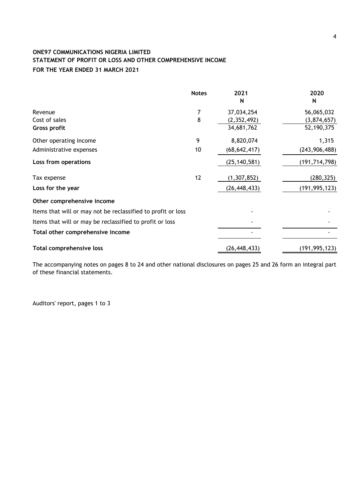# **ONE97 COMMUNICATIONS NIGERIA LIMITED STATEMENT OF PROFIT OR LOSS AND OTHER COMPREHENSIVE INCOME**

# **FOR THE YEAR ENDED 31 MARCH 2021**

|                                                              | <b>Notes</b> | 2021           | 2020            |
|--------------------------------------------------------------|--------------|----------------|-----------------|
|                                                              |              | N              | N               |
| Revenue                                                      | 7            | 37,034,254     | 56,065,032      |
| Cost of sales                                                | 8            | (2,352,492)    | (3,874,657)     |
| Gross profit                                                 |              | 34,681,762     | 52,190,375      |
| Other operating income                                       | 9            | 8,820,074      | 1,315           |
| Administrative expenses                                      | 10           | (68, 642, 417) | (243, 906, 488) |
| Loss from operations                                         |              | (25, 140, 581) | (191, 714, 798) |
| Tax expense                                                  | 12           | (1, 307, 852)  | (280, 325)      |
| Loss for the year                                            |              | (26, 448, 433) | (191, 995, 123) |
| Other comprehensive income                                   |              |                |                 |
| Items that will or may not be reclassified to profit or loss |              |                |                 |
| Items that will or may be reclassified to profit or loss     |              |                |                 |
| Total other comprehensive income                             |              |                |                 |
| Total comprehensive loss                                     |              | (26, 448, 433) | (191, 995, 123) |

The accompanying notes on pages 8 to 24 and other national disclosures on pages 25 and 26 form an integral part of these financial statements.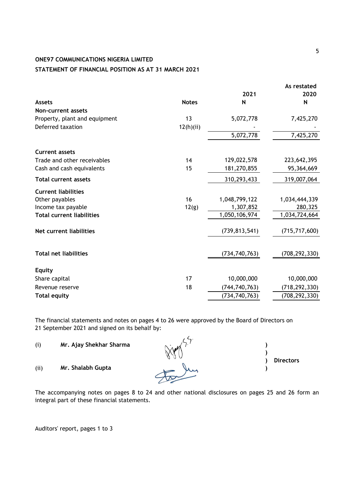# **ONE97 COMMUNICATIONS NIGERIA LIMITED**

# **STATEMENT OF FINANCIAL POSITION AS AT 31 MARCH 2021**

|                                  |              | 2021            | As restated<br>2020 |
|----------------------------------|--------------|-----------------|---------------------|
| <b>Assets</b>                    | <b>Notes</b> | N               | N                   |
| Non-current assets               |              |                 |                     |
| Property, plant and equipment    | 13           | 5,072,778       | 7,425,270           |
| Deferred taxation                | 12(h)(ii)    |                 |                     |
|                                  |              | 5,072,778       | 7,425,270           |
| <b>Current assets</b>            |              |                 |                     |
| Trade and other receivables      | 14           | 129,022,578     | 223,642,395         |
| Cash and cash equivalents        | 15           | 181,270,855     | 95,364,669          |
| <b>Total current assets</b>      |              | 310,293,433     | 319,007,064         |
| <b>Current liabilities</b>       |              |                 |                     |
| Other payables                   | 16           | 1,048,799,122   | 1,034,444,339       |
| Income tax payable               | 12(g)        | 1,307,852       | 280,325             |
| <b>Total current liabilities</b> |              | 1,050,106,974   | 1,034,724,664       |
| Net current liabilities          |              | (739, 813, 541) | (715, 717, 600)     |
| <b>Total net liabilities</b>     |              | (734, 740, 763) | (708, 292, 330)     |
| <b>Equity</b>                    |              |                 |                     |
| Share capital                    | 17           | 10,000,000      | 10,000,000          |
| Revenue reserve                  | 18           | (744, 740, 763) | (718, 292, 330)     |
| <b>Total equity</b>              |              | (734, 740, 763) | (708, 292, 330)     |

The financial statements and notes on pages 4 to 26 were approved by the Board of Directors on 21 September 2021 and signed on its behalf by:

| (i)  | Mr. Ajay Shekhar Sharma |                  |
|------|-------------------------|------------------|
| (ii) | Mr. Shalabh Gupta       | <b>Directors</b> |

The accompanying notes on pages 8 to 24 and other national disclosures on pages 25 and 26 form an integral part of these financial statements.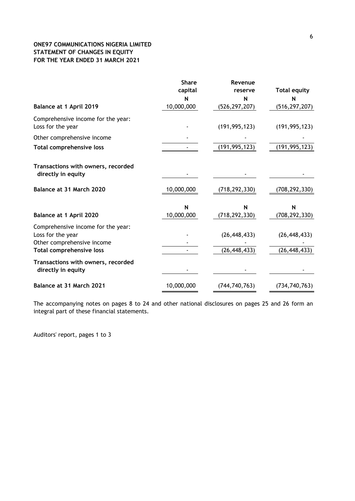# **ONE97 COMMUNICATIONS NIGERIA LIMITED STATEMENT OF CHANGES IN EQUITY FOR THE YEAR ENDED 31 MARCH 2021**

|                                                                                       | <b>Share</b><br>capital | Revenue<br>reserve   | <b>Total equity</b> |
|---------------------------------------------------------------------------------------|-------------------------|----------------------|---------------------|
|                                                                                       |                         | N                    | N                   |
| Balance at 1 April 2019                                                               | 10,000,000              | (526, 297, 207)      | (516, 297, 207)     |
| Comprehensive income for the year:<br>Loss for the year                               |                         | (191, 995, 123)      | (191, 995, 123)     |
| Other comprehensive income                                                            |                         |                      |                     |
| Total comprehensive loss                                                              |                         | (191, 995, 123)      | (191, 995, 123)     |
| Transactions with owners, recorded<br>directly in equity                              |                         |                      |                     |
| Balance at 31 March 2020                                                              | 10,000,000              | (718,292,330)        | (708,292,330)       |
|                                                                                       | N<br>10,000,000         | N<br>(718, 292, 330) | N                   |
| Balance at 1 April 2020                                                               |                         |                      | (708, 292, 330)     |
| Comprehensive income for the year:<br>Loss for the year<br>Other comprehensive income |                         | (26, 448, 433)       | (26, 448, 433)      |
| <b>Total comprehensive loss</b>                                                       |                         | (26, 448, 433)       | (26, 448, 433)      |
| Transactions with owners, recorded<br>directly in equity                              |                         |                      |                     |
| Balance at 31 March 2021                                                              | 10,000,000              | (744, 740, 763)      | (734, 740, 763)     |

The accompanying notes on pages 8 to 24 and other national disclosures on pages 25 and 26 form an integral part of these financial statements.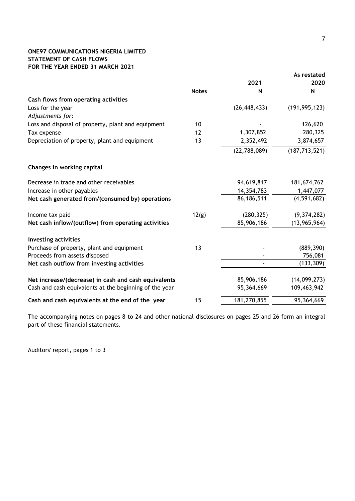# **ONE97 COMMUNICATIONS NIGERIA LIMITED STATEMENT OF CASH FLOWS FOR THE YEAR ENDED 31 MARCH 2021**

|                                                        |              |                | As restated     |
|--------------------------------------------------------|--------------|----------------|-----------------|
|                                                        |              | 2021           | 2020            |
|                                                        | <b>Notes</b> | N              | N               |
| Cash flows from operating activities                   |              |                |                 |
| Loss for the year                                      |              | (26, 448, 433) | (191, 995, 123) |
| Adjustments for:                                       |              |                |                 |
| Loss and disposal of property, plant and equipment     | 10           |                | 126,620         |
| Tax expense                                            | 12           | 1,307,852      | 280,325         |
| Depreciation of property, plant and equipment          | 13           | 2,352,492      | 3,874,657       |
|                                                        |              | (22, 788, 089) | (187, 713, 521) |
| Changes in working capital                             |              |                |                 |
| Decrease in trade and other receivables                |              | 94,619,817     | 181,674,762     |
| Increase in other payables                             |              | 14,354,783     | 1,447,077       |
| Net cash generated from/(consumed by) operations       |              | 86,186,511     | (4, 591, 682)   |
| Income tax paid                                        | 12(g)        | (280, 325)     | (9,374,282)     |
| Net cash inflow/(outflow) from operating activities    |              | 85,906,186     | (13, 965, 964)  |
| <b>Investing activities</b>                            |              |                |                 |
| Purchase of property, plant and equipment              | 13           |                | (889, 390)      |
| Proceeds from assets disposed                          |              |                | 756,081         |
| Net cash outflow from investing activities             |              |                | (133, 309)      |
| Net increase/(decrease) in cash and cash equivalents   |              | 85,906,186     | (14,099,273)    |
| Cash and cash equivalents at the beginning of the year |              | 95,364,669     | 109,463,942     |
| Cash and cash equivalents at the end of the year       | 15           | 181,270,855    | 95,364,669      |

The accompanying notes on pages 8 to 24 and other national disclosures on pages 25 and 26 form an integral part of these financial statements.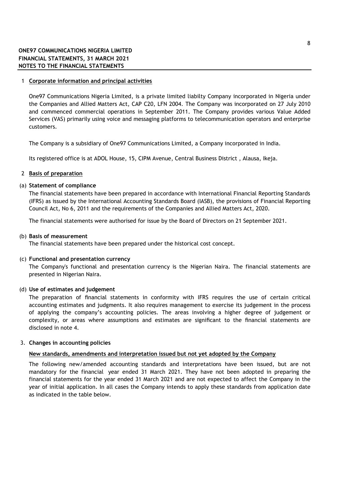#### 1 **Corporate information and principal activities**

One97 Communications Nigeria Limited, is a private limited liabilty Company incorporated in Nigeria under the Companies and Allied Matters Act, CAP C20, LFN 2004. The Company was incorporated on 27 July 2010 and commenced commercial operations in September 2011. The Company provides various Value Added Services (VAS) primarily using voice and messaging platforms to telecommunication operators and enterprise customers.

The Company is a subsidiary of One97 Communications Limited, a Company incorporated in India.

Its registered office is at ADOL House, 15, CIPM Avenue, Central Business District , Alausa, Ikeja.

#### 2 **Basis of preparation**

#### (a) **Statement of compliance**

The financial statements have been prepared in accordance with International Financial Reporting Standards (IFRS) as issued by the International Accounting Standards Board (IASB), the provisions of Financial Reporting Council Act, No 6, 2011 and the requirements of the Companies and Allied Matters Act, 2020.

The financial statements were authorised for issue by the Board of Directors on 21 September 2021.

#### (b) **Basis of measurement**

The financial statements have been prepared under the historical cost concept.

#### (c) **Functional and presentation currency**

The Company's functional and presentation currency is the Nigerian Naira. The financial statements are presented in Nigerian Naira.

#### (d) **Use of estimates and judgement**

The preparation of financial statements in conformity with IFRS requires the use of certain critical accounting estimates and judgments. It also requires management to exercise its judgement in the process of applying the company's accounting policies. The areas involving a higher degree of judgement or complexity, or areas where assumptions and estimates are significant to the financial statements are disclosed in note 4.

#### 3. **Changes in accounting policies**

#### **New standards, amendments and interpretation issued but not yet adopted by the Company**

The following new/amended accounting standards and interpretations have been issued, but are not mandatory for the financial year ended 31 March 2021. They have not been adopted in preparing the financial statements for the year ended 31 March 2021 and are not expected to affect the Company in the year of initial application. In all cases the Company intends to apply these standards from application date as indicated in the table below.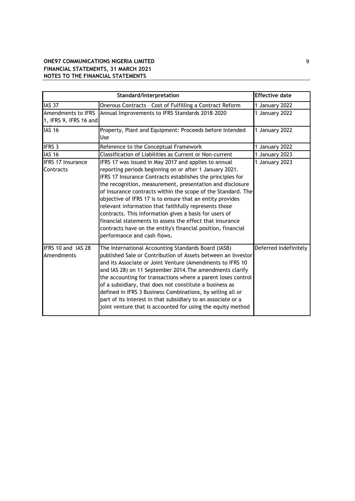# **ONE97 COMMUNICATIONS NIGERIA LIMITED** 9 **FINANCIAL STATEMENTS, 31 MARCH 2021 NOTES TO THE FINANCIAL STATEMENTS**

|                                              | <b>Effective date</b>                                                                                                                                                                                                                                                                                                                                                                                                                                                                                                                                                                                                                                 |                       |
|----------------------------------------------|-------------------------------------------------------------------------------------------------------------------------------------------------------------------------------------------------------------------------------------------------------------------------------------------------------------------------------------------------------------------------------------------------------------------------------------------------------------------------------------------------------------------------------------------------------------------------------------------------------------------------------------------------------|-----------------------|
| <b>IAS 37</b>                                | Onerous Contracts - Cost of Fulfilling a Contract Reform                                                                                                                                                                                                                                                                                                                                                                                                                                                                                                                                                                                              | 1 January 2022        |
| Amendments to IFRS<br>1, IFRS 9, IFRS 16 and | Annual Improvements to IFRS Standards 2018-2020                                                                                                                                                                                                                                                                                                                                                                                                                                                                                                                                                                                                       | 1 January 2022        |
| <b>IAS 16</b>                                | Property, Plant and Equipment: Proceeds before Intended<br><b>Use</b>                                                                                                                                                                                                                                                                                                                                                                                                                                                                                                                                                                                 | 1 January 2022        |
| <b>IFRS 3</b>                                | Reference to the Conceptual Framework                                                                                                                                                                                                                                                                                                                                                                                                                                                                                                                                                                                                                 | 1 January 2022        |
| <b>IAS 16</b>                                | Classification of Liabilities as Current or Non-current                                                                                                                                                                                                                                                                                                                                                                                                                                                                                                                                                                                               | 1 January 2023        |
| <b>IFRS 17 Insurance</b><br>Contracts        | IFRS 17 was issued in May 2017 and applies to annual<br>reporting periods beginning on or after 1 January 2021.<br>IFRS 17 Insurance Contracts establishes the principles for<br>the recognition, measurement, presentation and disclosure<br>of Insurance contracts within the scope of the Standard. The<br>objective of IFRS 17 is to ensure that an entity provides<br>relevant information that faithfully represents those<br>contracts. This information gives a basis for users of<br>financial statements to assess the effect that insurance<br>contracts have on the entity's financial position, financial<br>performance and cash flows. | 1 January 2023        |
| IFRS 10 and IAS 28<br>Amendments             | The International Accounting Standards Board (IASB)<br>published Sale or Contribution of Assets between an Investor<br>and its Associate or Joint Venture (Amendments to IFRS 10<br>and IAS 28) on 11 September 2014. The amendments clarify<br>the accounting for transactions where a parent loses control<br>of a subsidiary, that does not constitute a business as<br>defined in IFRS 3 Business Combinations, by selling all or<br>part of its interest in that subsidiary to an associate or a<br>joint venture that is accounted for using the equity method                                                                                  | Deferred indefinitely |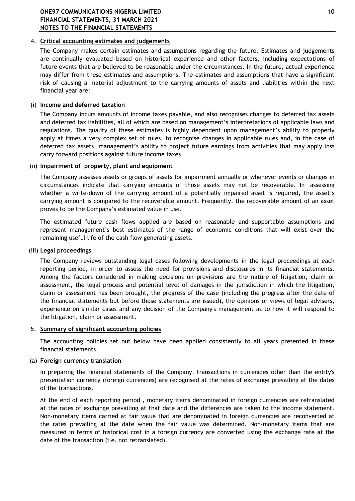# 4. **Critical accounting estimates and judgements**

The Company makes certain estimates and assumptions regarding the future. Estimates and judgements are continually evaluated based on historical experience and other factors, including expectations of future events that are believed to be reasonable under the circumstances. In the future, actual experience may differ from these estimates and assumptions. The estimates and assumptions that have a significant risk of causing a material adjustment to the carrying amounts of assets and liabilities within the next financial year are:

## (i) **Income and deferred taxation**

The Company incurs amounts of income taxes payable, and also recognises changes to deferred tax assets and deferred tax liabilities, all of which are based on management's interpretations of applicable laws and regulations. The quality of these estimates is highly dependent upon management's ability to properly apply at times a very complex set of rules, to recognise changes in applicable rules and, in the case of deferred tax assets, management's ability to project future earnings from activities that may apply loss carry forward positions against future income taxes.

## (ii) **Impairment of property, plant and equipment**

The Company assesses assets or groups of assets for impairment annually or whenever events or changes in circumstances indicate that carrying amounts of those assets may not be recoverable. In assessing whether a write-down of the carrying amount of a potentially impaired asset is required, the asset's carrying amount is compared to the recoverable amount. Frequently, the recoverable amount of an asset proves to be the Company's estimated value in use.

The estimated future cash flows applied are based on reasonable and supportable assumptions and represent management's best estimates of the range of economic conditions that will exist over the remaining useful life of the cash flow generating assets.

#### (iii) **Legal proceedings**

The Company reviews outstanding legal cases following developments in the legal proceedings at each reporting period, in order to assess the need for provisions and disclosures in its financial statements. Among the factors considered in making decisions on provisions are the nature of litigation, claim or assessment, the legal process and potential level of damages in the jurisdiction in which the litigation, claim or assessment has been brought, the progress of the case (including the progress after the date of the financial statements but before those statements are issued), the opinions or views of legal advisers, experience on similar cases and any decision of the Company's management as to how it will respond to the litigation, claim or assessment.

## 5. **Summary of significant accounting policies**

The accounting policies set out below have been applied consistently to all years presented in these financial statements.

## (a) **Foreign currency translation**

In preparing the financial statements of the Company, transactions in currencies other than the entity's presentation currency (foreign currencies) are recognised at the rates of exchange prevailing at the dates of the transactions.

At the end of each reporting period , monetary items denominated in foreign currencies are retranslated at the rates of exchange prevailing at that date and the differences are taken to the income statement. Non-monetary items carried at fair value that are denominated in foreign currencies are reconverted at the rates prevailing at the date when the fair value was determined. Non-monetary items that are measured in terms of historical cost in a foreign currency are converted using the exchange rate at the date of the transaction (i.e. not retranslated).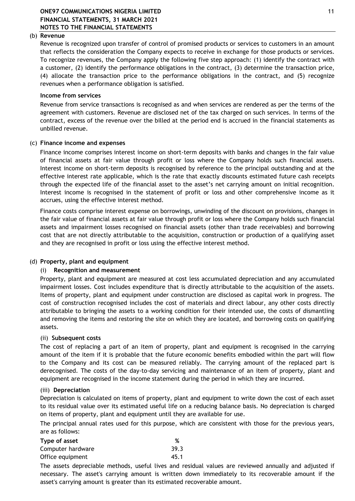#### (b) **Revenue**

Revenue is recognized upon transfer of control of promised products or services to customers in an amount that reflects the consideration the Company expects to receive in exchange for those products or services. To recognize revenues, the Company apply the following five step approach: (1) identify the contract with a customer, (2) identify the performance obligations in the contract, (3) determine the transaction price, (4) allocate the transaction price to the performance obligations in the contract, and (5) recognize revenues when a performance obligation is satisfied.

#### **Income from services**

Revenue from service transactions is recognised as and when services are rendered as per the terms of the agreement with customers. Revenue are disclosed net of the tax charged on such services. In terms of the contract, excess of the revenue over the billed at the period end is accrued in the financial statements as unbilled revenue.

#### (c) **Finance income and expenses**

Finance income comprises interest income on short-term deposits with banks and changes in the fair value of financial assets at fair value through profit or loss where the Company holds such financial assets. Interest income on short-term deposits is recognised by reference to the principal outstanding and at the effective interest rate applicable, which is the rate that exactly discounts estimated future cash receipts through the expected life of the financial asset to the asset's net carrying amount on initial recognition. Interest income is recognised in the statement of profit or loss and other comprehensive income as it accrues, using the effective interest method.

Finance costs comprise interest expense on borrowings, unwinding of the discount on provisions, changes in the fair value of financial assets at fair value through profit or loss where the Company holds such financial assets and impairment losses recognised on financial assets (other than trade receivables) and borrowing cost that are not directly attributable to the acquisition, construction or production of a qualifying asset and they are recognised in profit or loss using the effective interest method.

## (d) **Property, plant and equipment**

## (i) **Recognition and measurement**

Property, plant and equipment are measured at cost less accumulated depreciation and any accumulated impairment losses. Cost includes expenditure that is directly attributable to the acquisition of the assets. Items of property, plant and equipment under construction are disclosed as capital work in progress. The cost of construction recognised includes the cost of materials and direct labour, any other costs directly attributable to bringing the assets to a working condition for their intended use, the costs of dismantling and removing the items and restoring the site on which they are located, and borrowing costs on qualifying assets.

## (ii) **Subsequent costs**

The cost of replacing a part of an item of property, plant and equipment is recognised in the carrying amount of the item if it is probable that the future economic benefits embodied within the part will flow to the Company and its cost can be measured reliably. The carrying amount of the replaced part is derecognised. The costs of the day-to-day servicing and maintenance of an item of property, plant and equipment are recognised in the income statement during the period in which they are incurred.

#### (iii) **Depreciation**

Depreciation is calculated on items of property, plant and equipment to write down the cost of each asset to its residual value over its estimated useful life on a reducing balance basis. No depreciation is charged on items of property, plant and equipment until they are available for use.

The principal annual rates used for this purpose, which are consistent with those for the previous years, are as follows:

| Type of asset     | %    |
|-------------------|------|
| Computer hardware | 39.3 |
| Office equipment  | 45.1 |

The assets depreciable methods, useful lives and residual values are reviewed annually and adjusted if necessary. The asset's carrying amount is written down immediately to its recoverable amount if the asset's carrying amount is greater than its estimated recoverable amount.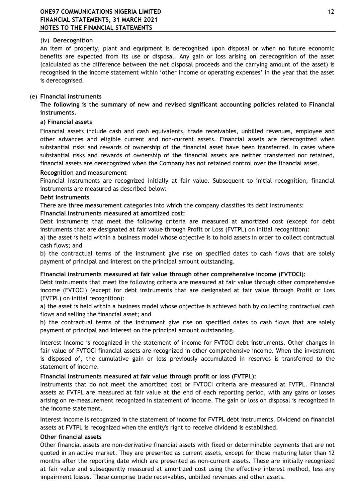# (iv) **Derecognition**

An item of property, plant and equipment is derecognised upon disposal or when no future economic benefits are expected from its use or disposal. Any gain or loss arising on derecognition of the asset (calculated as the difference between the net disposal proceeds and the carrying amount of the asset) is recognised in the income statement within 'other income or operating expenses' in the year that the asset is derecognised.

## (e) **Financial instruments**

**The following is the summary of new and revised significant accounting policies related to Financial instruments.** 

# **a) Financial assets**

Financial assets include cash and cash equivalents, trade receivables, unbilled revenues, employee and other advances and eligible current and non-current assets. Financial assets are derecognized when substantial risks and rewards of ownership of the financial asset have been transferred. In cases where substantial risks and rewards of ownership of the financial assets are neither transferred nor retained, financial assets are derecognized when the Company has not retained control over the financial asset.

## **Recognition and measurement**

Financial instruments are recognized initially at fair value. Subsequent to initial recognition, financial instruments are measured as described below:

# **Debt instruments**

There are three measurement categories into which the company classifies its debt instruments:

# **Financial instruments measured at amortized cost:**

Debt instruments that meet the following criteria are measured at amortized cost (except for debt instruments that are designated at fair value through Profit or Loss (FVTPL) on initial recognition):

a) the asset is held within a business model whose objective is to hold assets in order to collect contractual cash flows; and

b) the contractual terms of the instrument give rise on specified dates to cash flows that are solely payment of principal and interest on the principal amount outstanding.

## **Financial instruments measured at fair value through other comprehensive income (FVTOCI):**

Debt instruments that meet the following criteria are measured at fair value through other comprehensive income (FVTOCI) (except for debt instruments that are designated at fair value through Profit or Loss (FVTPL) on initial recognition):

a) the asset is held within a business model whose objective is achieved both by collecting contractual cash flows and selling the financial asset; and

b) the contractual terms of the instrument give rise on specified dates to cash flows that are solely payment of principal and interest on the principal amount outstanding.

Interest income is recognized in the statement of income for FVTOCI debt instruments. Other changes in fair value of FVTOCI financial assets are recognized in other comprehensive income. When the investment is disposed of, the cumulative gain or loss previously accumulated in reserves is transferred to the statement of income.

## **Financial instruments measured at fair value through profit or loss (FVTPL):**

Instruments that do not meet the amortized cost or FVTOCI criteria are measured at FVTPL. Financial assets at FVTPL are measured at fair value at the end of each reporting period, with any gains or losses arising on re-measurement recognized in statement of income. The gain or loss on disposal is recognized in the income statement.

Interest income is recognized in the statement of income for FVTPL debt instruments. Dividend on financial assets at FVTPL is recognized when the entity's right to receive dividend is established.

## **Other financial assets**

Other financial assets are non-derivative financial assets with fixed or determinable payments that are not quoted in an active market. They are presented as current assets, except for those maturing later than 12 months after the reporting date which are presented as non-current assets. These are initially recognized at fair value and subsequently measured at amortized cost using the effective interest method, less any impairment losses. These comprise trade receivables, unbilled revenues and other assets.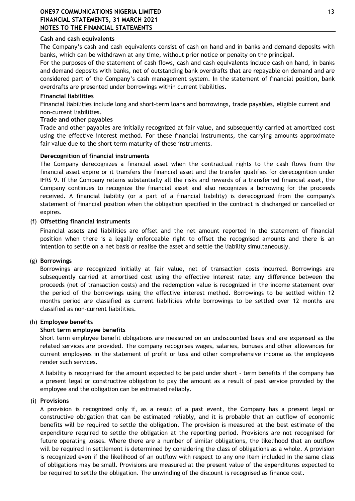# **Cash and cash equivalents**

The Company's cash and cash equivalents consist of cash on hand and in banks and demand deposits with banks, which can be withdrawn at any time, without prior notice or penalty on the principal.

For the purposes of the statement of cash flows, cash and cash equivalents include cash on hand, in banks and demand deposits with banks, net of outstanding bank overdrafts that are repayable on demand and are considered part of the Company's cash management system. In the statement of financial position, bank overdrafts are presented under borrowings within current liabilities.

#### **Financial liabilities**

Financial liabilities include long and short-term loans and borrowings, trade payables, eligible current and non-current liabilities.

#### **Trade and other payables**

Trade and other payables are initially recognized at fair value, and subsequently carried at amortized cost using the effective interest method. For these financial instruments, the carrying amounts approximate fair value due to the short term maturity of these instruments.

#### **Derecognition of financial instruments**

The Company derecognizes a financial asset when the contractual rights to the cash flows from the financial asset expire or it transfers the financial asset and the transfer qualifies for derecognition under IFRS 9. If the Company retains substantially all the risks and rewards of a transferred financial asset, the Company continues to recognize the financial asset and also recognizes a borrowing for the proceeds received. A financial liability (or a part of a financial liability) is derecognized from the company's statement of financial position when the obligation specified in the contract is discharged or cancelled or expires.

#### (f) **Offsetting financial instruments**

Financial assets and liabilities are offset and the net amount reported in the statement of financial position when there is a legally enforceable right to offset the recognised amounts and there is an intention to settle on a net basis or realise the asset and settle the liability simultaneously.

## (g) **Borrowings**

Borrowings are recognized initially at fair value, net of transaction costs incurred. Borrowings are subsequently carried at amortised cost using the effective interest rate; any difference between the proceeds (net of transaction costs) and the redemption value is recognized in the income statement over the period of the borrowings using the effective interest method. Borrowings to be settled within 12 months period are classified as current liabilities while borrowings to be settled over 12 months are classified as non-current liabilities.

## (h) **Employee benefits**

#### **Short term employee benefits**

Short term employee benefit obligations are measured on an undiscounted basis and are expensed as the related services are provided. The company recognises wages, salaries, bonuses and other allowances for current employees in the statement of profit or loss and other comprehensive income as the employees render such services.

A liability is recognised for the amount expected to be paid under short - term benefits if the company has a present legal or constructive obligation to pay the amount as a result of past service provided by the employee and the obligation can be estimated reliably.

#### (i) **Provisions**

A provision is recognized only if, as a result of a past event, the Company has a present legal or constructive obligation that can be estimated reliably, and it is probable that an outflow of economic benefits will be required to settle the obligation. The provision is measured at the best estimate of the expenditure required to settle the obligation at the reporting period. Provisions are not recognised for future operating losses. Where there are a number of similar obligations, the likelihood that an outflow will be required in settlement is determined by considering the class of obligations as a whole. A provision is recognized even if the likelihood of an outflow with respect to any one item included in the same class of obligations may be small. Provisions are measured at the present value of the expenditures expected to be required to settle the obligation. The unwinding of the discount is recognised as finance cost.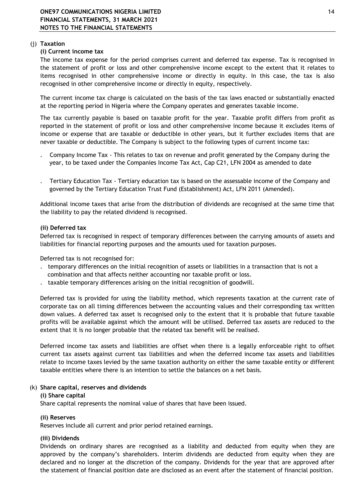# (j) **Taxation**

# **(i) Current income tax**

The income tax expense for the period comprises current and deferred tax expense. Tax is recognised in the statement of profit or loss and other comprehensive income except to the extent that it relates to items recognised in other comprehensive income or directly in equity. In this case, the tax is also recognised in other comprehensive income or directly in equity, respectively.

The current income tax charge is calculated on the basis of the tax laws enacted or substantially enacted at the reporting period in Nigeria where the Company operates and generates taxable income.

The tax currently payable is based on taxable profit for the year. Taxable profit differs from profit as reported in the statement of profit or loss and other comprehensive income because it excludes items of income or expense that are taxable or deductible in other years, but it further excludes items that are never taxable or deductible. The Company is subject to the following types of current income tax:

- year, to be taxed under the Companies Income Tax Act, Cap C21, LFN 2004 as amended to date . Company Income Tax - This relates to tax on revenue and profit generated by the Company during the
- governed by the Tertiary Education Trust Fund (Establishment) Act, LFN 2011 (Amended). . Tertiary Education Tax - Tertiary education tax is based on the assessable income of the Company and

Additional income taxes that arise from the distribution of dividends are recognised at the same time that the liability to pay the related dividend is recognised.

## **(ii) Deferred tax**

Deferred tax is recognised in respect of temporary differences between the carrying amounts of assets and liabilities for financial reporting purposes and the amounts used for taxation purposes.

Deferred tax is not recognised for:

- combination and that affects neither accounting nor taxable profit or loss. . temporary differences on the initial recognition of assets or liabilities in a transaction that is not a
- . taxable temporary differences arising on the initial recognition of goodwill.

Deferred tax is provided for using the liability method, which represents taxation at the current rate of corporate tax on all timing differences between the accounting values and their corresponding tax written down values. A deferred tax asset is recognised only to the extent that it is probable that future taxable profits will be available against which the amount will be utilised. Deferred tax assets are reduced to the extent that it is no longer probable that the related tax benefit will be realised.

Deferred income tax assets and liabilities are offset when there is a legally enforceable right to offset current tax assets against current tax liabilities and when the deferred income tax assets and liabilities relate to income taxes levied by the same taxation authority on either the same taxable entity or different taxable entities where there is an intention to settle the balances on a net basis.

## (k) **Share capital, reserves and dividends**

## **(i) Share capital**

Share capital represents the nominal value of shares that have been issued.

## **(ii) Reserves**

Reserves include all current and prior period retained earnings.

# **(iii) Dividends**

Dividends on ordinary shares are recognised as a liability and deducted from equity when they are approved by the company's shareholders. Interim dividends are deducted from equity when they are declared and no longer at the discretion of the company. Dividends for the year that are approved after the statement of financial position date are disclosed as an event after the statement of financial position.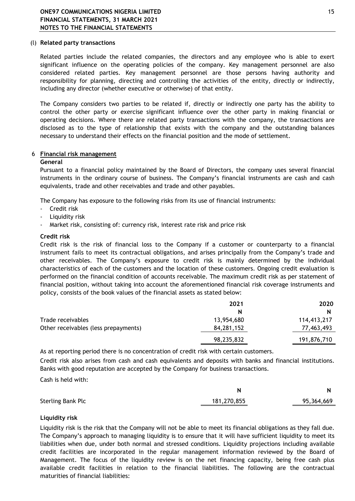#### (l) **Related party transactions**

Related parties include the related companies, the directors and any employee who is able to exert significant influence on the operating policies of the company. Key management personnel are also considered related parties. Key management personnel are those persons having authority and responsibility for planning, directing and controlling the activities of the entity, directly or indirectly, including any director (whether executive or otherwise) of that entity.

The Company considers two parties to be related if, directly or indirectly one party has the ability to control the other party or exercise significant influence over the other party in making financial or operating decisions. Where there are related party transactions with the company, the transactions are disclosed as to the type of relationship that exists with the company and the outstanding balances necessary to understand their effects on the financial position and the mode of settlement.

## 6 **Financial risk management**

#### **General**

Pursuant to a financial policy maintained by the Board of Directors, the company uses several financial instruments in the ordinary course of business. The Company's financial instruments are cash and cash equivalents, trade and other receivables and trade and other payables.

The Company has exposure to the following risks from its use of financial instruments:

- Credit risk
- Liquidity risk
- Market risk, consisting of: currency risk, interest rate risk and price risk

#### **Credit risk**

Credit risk is the risk of financial loss to the Company if a customer or counterparty to a financial instrument fails to meet its contractual obligations, and arises principally from the Company's trade and other receivables. The Company's exposure to credit risk is mainly determined by the individual characteristics of each of the customers and the location of these customers. Ongoing credit evaluation is performed on the financial condition of accounts receivable. The maximum credit risk as per statement of financial position, without taking into account the aforementioned financial risk coverage instruments and policy, consists of the book values of the financial assets as stated below:

|                                      | 2021       | 2020        |
|--------------------------------------|------------|-------------|
|                                      | N          | N           |
| Trade receivables                    | 13,954,680 | 114,413,217 |
| Other receivables (less prepayments) | 84,281,152 | 77,463,493  |
|                                      | 98,235,832 | 191,876,710 |

As at reporting period there is no concentration of credit risk with certain customers.

Credit risk also arises from cash and cash equivalents and deposits with banks and financial institutions. Banks with good reputation are accepted by the Company for business transactions.

Cash is held with:

|                          | N           |            |
|--------------------------|-------------|------------|
| <b>Sterling Bank Plc</b> | 181,270,855 | 95,364,669 |

## **Liquidity risk**

Liquidity risk is the risk that the Company will not be able to meet its financial obligations as they fall due. The Company's approach to managing liquidity is to ensure that it will have sufficient liquidity to meet its liabilities when due, under both normal and stressed conditions. Liquidity projections including available credit facilities are incorporated in the regular management information reviewed by the Board of Management. The focus of the liquidity review is on the net financing capacity, being free cash plus available credit facilities in relation to the financial liabilities. The following are the contractual maturities of financial liabilities: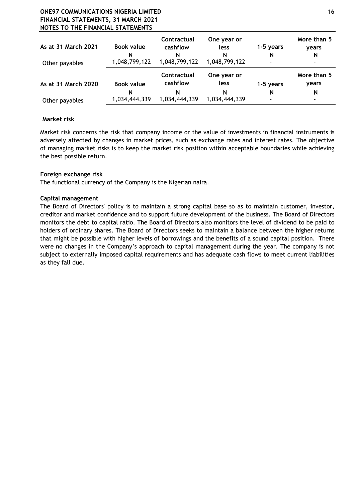# **ONE97 COMMUNICATIONS NIGERIA LIMITED** 16 **FINANCIAL STATEMENTS, 31 MARCH 2021 NOTES TO THE FINANCIAL STATEMENTS**

| As at 31 March 2021<br>Other payables | Book value<br>N<br>1,048,799,122 | Contractual<br>cashflow<br>N<br>1,048,799,122 | One year or<br>less<br>N<br>1,048,799,122 | 1-5 years<br>N<br>٠ | More than 5<br>years<br>N<br>$\blacksquare$ |
|---------------------------------------|----------------------------------|-----------------------------------------------|-------------------------------------------|---------------------|---------------------------------------------|
| As at 31 March 2020                   | <b>Book value</b>                | Contractual<br>cashflow                       | One year or<br>less                       | 1-5 years           | More than 5<br>years                        |
| Other payables                        | N<br>1,034,444,339               | N<br>1,034,444,339                            | N<br>1,034,444,339                        | N<br>$\blacksquare$ | N<br>٠                                      |

# **Market risk**

Market risk concerns the risk that company income or the value of investments in financial instruments is adversely affected by changes in market prices, such as exchange rates and interest rates. The objective of managing market risks is to keep the market risk position within acceptable boundaries while achieving the best possible return.

# **Foreign exchange risk**

The functional currency of the Company is the Nigerian naira.

# **Capital management**

The Board of Directors' policy is to maintain a strong capital base so as to maintain customer, investor, creditor and market confidence and to support future development of the business. The Board of Directors monitors the debt to capital ratio. The Board of Directors also monitors the level of dividend to be paid to holders of ordinary shares. The Board of Directors seeks to maintain a balance between the higher returns that might be possible with higher levels of borrowings and the benefits of a sound capital position. There were no changes in the Company's approach to capital management during the year. The company is not subject to externally imposed capital requirements and has adequate cash flows to meet current liabilities as they fall due.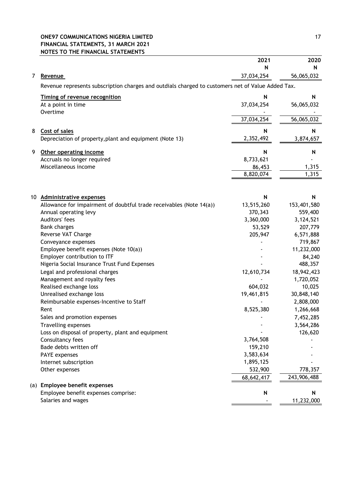# **ONE97 COMMUNICATIONS NIGERIA LIMITED** 17 **FINANCIAL STATEMENTS, 31 MARCH 2021 NOTES TO THE FINANCIAL STATEMENTS**

| 56,065,032<br>37,034,254<br>7<br><u>Revenue</u><br>Revenue represents subscription charges and outdials charged to customers net of Value Added Tax.<br>Timing of revenue recognition<br>N<br>N<br>At a point in time<br>37,034,254<br>56,065,032<br>Overtime<br>37,034,254<br>56,065,032<br>8<br>N<br>N<br>Cost of sales<br>2,352,492<br>Depreciation of property, plant and equipment (Note 13)<br>3,874,657<br>9<br>Other operating income<br>N<br>N<br>Accruals no longer required<br>8,733,621<br>Miscellaneous income<br>1,315<br>86,453<br>1,315<br>8,820,074<br><b>Administrative expenses</b><br>N<br>N<br>10<br>13,515,260<br>Allowance for impairment of doubtful trade receivables (Note 14(a))<br>153,401,580<br>Annual operating levy<br>370,343<br>559,400<br>Auditors' fees<br>3,360,000<br>3,124,521<br><b>Bank charges</b><br>53,529<br>207,779<br>Reverse VAT Charge<br>205,947<br>6,571,888<br>Conveyance expenses<br>719,867<br>Employee benefit expenses (Note 10(a))<br>11,232,000<br>Employer contribution to ITF<br>84,240<br>Nigeria Social Insurance Trust Fund Expenses<br>488,357<br>Legal and professional charges<br>18,942,423<br>12,610,734<br>Management and royalty fees<br>1,720,052<br>Realised exchange loss<br>10,025<br>604,032<br>19,461,815<br>Unrealised exchange loss<br>30,848,140<br>Reimbursable expenses-Incentive to Staff<br>2,808,000<br>Rent<br>8,525,380<br>1,266,668<br>Sales and promotion expenses<br>7,452,285<br>Travelling expenses<br>3,564,286<br>126,620<br>Loss on disposal of property, plant and equipment<br>Consultancy fees<br>3,764,508<br>159,210<br>Bade debts written off<br>3,583,634<br>PAYE expenses<br>1,895,125<br>Internet subscription<br>Other expenses<br>532,900<br>778,357<br>68,642,417<br>243,906,488<br><b>Employee benefit expenses</b><br>(a)<br>Employee benefit expenses comprise:<br>N<br>N<br>Salaries and wages<br>11,232,000 |  | 2021 | 2020 |
|----------------------------------------------------------------------------------------------------------------------------------------------------------------------------------------------------------------------------------------------------------------------------------------------------------------------------------------------------------------------------------------------------------------------------------------------------------------------------------------------------------------------------------------------------------------------------------------------------------------------------------------------------------------------------------------------------------------------------------------------------------------------------------------------------------------------------------------------------------------------------------------------------------------------------------------------------------------------------------------------------------------------------------------------------------------------------------------------------------------------------------------------------------------------------------------------------------------------------------------------------------------------------------------------------------------------------------------------------------------------------------------------------------------------------------------------------------------------------------------------------------------------------------------------------------------------------------------------------------------------------------------------------------------------------------------------------------------------------------------------------------------------------------------------------------------------------------------------------------------------------------------------------------------------------|--|------|------|
|                                                                                                                                                                                                                                                                                                                                                                                                                                                                                                                                                                                                                                                                                                                                                                                                                                                                                                                                                                                                                                                                                                                                                                                                                                                                                                                                                                                                                                                                                                                                                                                                                                                                                                                                                                                                                                                                                                                            |  | N    | N    |
|                                                                                                                                                                                                                                                                                                                                                                                                                                                                                                                                                                                                                                                                                                                                                                                                                                                                                                                                                                                                                                                                                                                                                                                                                                                                                                                                                                                                                                                                                                                                                                                                                                                                                                                                                                                                                                                                                                                            |  |      |      |
|                                                                                                                                                                                                                                                                                                                                                                                                                                                                                                                                                                                                                                                                                                                                                                                                                                                                                                                                                                                                                                                                                                                                                                                                                                                                                                                                                                                                                                                                                                                                                                                                                                                                                                                                                                                                                                                                                                                            |  |      |      |
|                                                                                                                                                                                                                                                                                                                                                                                                                                                                                                                                                                                                                                                                                                                                                                                                                                                                                                                                                                                                                                                                                                                                                                                                                                                                                                                                                                                                                                                                                                                                                                                                                                                                                                                                                                                                                                                                                                                            |  |      |      |
|                                                                                                                                                                                                                                                                                                                                                                                                                                                                                                                                                                                                                                                                                                                                                                                                                                                                                                                                                                                                                                                                                                                                                                                                                                                                                                                                                                                                                                                                                                                                                                                                                                                                                                                                                                                                                                                                                                                            |  |      |      |
|                                                                                                                                                                                                                                                                                                                                                                                                                                                                                                                                                                                                                                                                                                                                                                                                                                                                                                                                                                                                                                                                                                                                                                                                                                                                                                                                                                                                                                                                                                                                                                                                                                                                                                                                                                                                                                                                                                                            |  |      |      |
|                                                                                                                                                                                                                                                                                                                                                                                                                                                                                                                                                                                                                                                                                                                                                                                                                                                                                                                                                                                                                                                                                                                                                                                                                                                                                                                                                                                                                                                                                                                                                                                                                                                                                                                                                                                                                                                                                                                            |  |      |      |
|                                                                                                                                                                                                                                                                                                                                                                                                                                                                                                                                                                                                                                                                                                                                                                                                                                                                                                                                                                                                                                                                                                                                                                                                                                                                                                                                                                                                                                                                                                                                                                                                                                                                                                                                                                                                                                                                                                                            |  |      |      |
|                                                                                                                                                                                                                                                                                                                                                                                                                                                                                                                                                                                                                                                                                                                                                                                                                                                                                                                                                                                                                                                                                                                                                                                                                                                                                                                                                                                                                                                                                                                                                                                                                                                                                                                                                                                                                                                                                                                            |  |      |      |
|                                                                                                                                                                                                                                                                                                                                                                                                                                                                                                                                                                                                                                                                                                                                                                                                                                                                                                                                                                                                                                                                                                                                                                                                                                                                                                                                                                                                                                                                                                                                                                                                                                                                                                                                                                                                                                                                                                                            |  |      |      |
|                                                                                                                                                                                                                                                                                                                                                                                                                                                                                                                                                                                                                                                                                                                                                                                                                                                                                                                                                                                                                                                                                                                                                                                                                                                                                                                                                                                                                                                                                                                                                                                                                                                                                                                                                                                                                                                                                                                            |  |      |      |
|                                                                                                                                                                                                                                                                                                                                                                                                                                                                                                                                                                                                                                                                                                                                                                                                                                                                                                                                                                                                                                                                                                                                                                                                                                                                                                                                                                                                                                                                                                                                                                                                                                                                                                                                                                                                                                                                                                                            |  |      |      |
|                                                                                                                                                                                                                                                                                                                                                                                                                                                                                                                                                                                                                                                                                                                                                                                                                                                                                                                                                                                                                                                                                                                                                                                                                                                                                                                                                                                                                                                                                                                                                                                                                                                                                                                                                                                                                                                                                                                            |  |      |      |
|                                                                                                                                                                                                                                                                                                                                                                                                                                                                                                                                                                                                                                                                                                                                                                                                                                                                                                                                                                                                                                                                                                                                                                                                                                                                                                                                                                                                                                                                                                                                                                                                                                                                                                                                                                                                                                                                                                                            |  |      |      |
|                                                                                                                                                                                                                                                                                                                                                                                                                                                                                                                                                                                                                                                                                                                                                                                                                                                                                                                                                                                                                                                                                                                                                                                                                                                                                                                                                                                                                                                                                                                                                                                                                                                                                                                                                                                                                                                                                                                            |  |      |      |
|                                                                                                                                                                                                                                                                                                                                                                                                                                                                                                                                                                                                                                                                                                                                                                                                                                                                                                                                                                                                                                                                                                                                                                                                                                                                                                                                                                                                                                                                                                                                                                                                                                                                                                                                                                                                                                                                                                                            |  |      |      |
|                                                                                                                                                                                                                                                                                                                                                                                                                                                                                                                                                                                                                                                                                                                                                                                                                                                                                                                                                                                                                                                                                                                                                                                                                                                                                                                                                                                                                                                                                                                                                                                                                                                                                                                                                                                                                                                                                                                            |  |      |      |
|                                                                                                                                                                                                                                                                                                                                                                                                                                                                                                                                                                                                                                                                                                                                                                                                                                                                                                                                                                                                                                                                                                                                                                                                                                                                                                                                                                                                                                                                                                                                                                                                                                                                                                                                                                                                                                                                                                                            |  |      |      |
|                                                                                                                                                                                                                                                                                                                                                                                                                                                                                                                                                                                                                                                                                                                                                                                                                                                                                                                                                                                                                                                                                                                                                                                                                                                                                                                                                                                                                                                                                                                                                                                                                                                                                                                                                                                                                                                                                                                            |  |      |      |
|                                                                                                                                                                                                                                                                                                                                                                                                                                                                                                                                                                                                                                                                                                                                                                                                                                                                                                                                                                                                                                                                                                                                                                                                                                                                                                                                                                                                                                                                                                                                                                                                                                                                                                                                                                                                                                                                                                                            |  |      |      |
|                                                                                                                                                                                                                                                                                                                                                                                                                                                                                                                                                                                                                                                                                                                                                                                                                                                                                                                                                                                                                                                                                                                                                                                                                                                                                                                                                                                                                                                                                                                                                                                                                                                                                                                                                                                                                                                                                                                            |  |      |      |
|                                                                                                                                                                                                                                                                                                                                                                                                                                                                                                                                                                                                                                                                                                                                                                                                                                                                                                                                                                                                                                                                                                                                                                                                                                                                                                                                                                                                                                                                                                                                                                                                                                                                                                                                                                                                                                                                                                                            |  |      |      |
|                                                                                                                                                                                                                                                                                                                                                                                                                                                                                                                                                                                                                                                                                                                                                                                                                                                                                                                                                                                                                                                                                                                                                                                                                                                                                                                                                                                                                                                                                                                                                                                                                                                                                                                                                                                                                                                                                                                            |  |      |      |
|                                                                                                                                                                                                                                                                                                                                                                                                                                                                                                                                                                                                                                                                                                                                                                                                                                                                                                                                                                                                                                                                                                                                                                                                                                                                                                                                                                                                                                                                                                                                                                                                                                                                                                                                                                                                                                                                                                                            |  |      |      |
|                                                                                                                                                                                                                                                                                                                                                                                                                                                                                                                                                                                                                                                                                                                                                                                                                                                                                                                                                                                                                                                                                                                                                                                                                                                                                                                                                                                                                                                                                                                                                                                                                                                                                                                                                                                                                                                                                                                            |  |      |      |
|                                                                                                                                                                                                                                                                                                                                                                                                                                                                                                                                                                                                                                                                                                                                                                                                                                                                                                                                                                                                                                                                                                                                                                                                                                                                                                                                                                                                                                                                                                                                                                                                                                                                                                                                                                                                                                                                                                                            |  |      |      |
|                                                                                                                                                                                                                                                                                                                                                                                                                                                                                                                                                                                                                                                                                                                                                                                                                                                                                                                                                                                                                                                                                                                                                                                                                                                                                                                                                                                                                                                                                                                                                                                                                                                                                                                                                                                                                                                                                                                            |  |      |      |
|                                                                                                                                                                                                                                                                                                                                                                                                                                                                                                                                                                                                                                                                                                                                                                                                                                                                                                                                                                                                                                                                                                                                                                                                                                                                                                                                                                                                                                                                                                                                                                                                                                                                                                                                                                                                                                                                                                                            |  |      |      |
|                                                                                                                                                                                                                                                                                                                                                                                                                                                                                                                                                                                                                                                                                                                                                                                                                                                                                                                                                                                                                                                                                                                                                                                                                                                                                                                                                                                                                                                                                                                                                                                                                                                                                                                                                                                                                                                                                                                            |  |      |      |
|                                                                                                                                                                                                                                                                                                                                                                                                                                                                                                                                                                                                                                                                                                                                                                                                                                                                                                                                                                                                                                                                                                                                                                                                                                                                                                                                                                                                                                                                                                                                                                                                                                                                                                                                                                                                                                                                                                                            |  |      |      |
|                                                                                                                                                                                                                                                                                                                                                                                                                                                                                                                                                                                                                                                                                                                                                                                                                                                                                                                                                                                                                                                                                                                                                                                                                                                                                                                                                                                                                                                                                                                                                                                                                                                                                                                                                                                                                                                                                                                            |  |      |      |
|                                                                                                                                                                                                                                                                                                                                                                                                                                                                                                                                                                                                                                                                                                                                                                                                                                                                                                                                                                                                                                                                                                                                                                                                                                                                                                                                                                                                                                                                                                                                                                                                                                                                                                                                                                                                                                                                                                                            |  |      |      |
|                                                                                                                                                                                                                                                                                                                                                                                                                                                                                                                                                                                                                                                                                                                                                                                                                                                                                                                                                                                                                                                                                                                                                                                                                                                                                                                                                                                                                                                                                                                                                                                                                                                                                                                                                                                                                                                                                                                            |  |      |      |
|                                                                                                                                                                                                                                                                                                                                                                                                                                                                                                                                                                                                                                                                                                                                                                                                                                                                                                                                                                                                                                                                                                                                                                                                                                                                                                                                                                                                                                                                                                                                                                                                                                                                                                                                                                                                                                                                                                                            |  |      |      |
|                                                                                                                                                                                                                                                                                                                                                                                                                                                                                                                                                                                                                                                                                                                                                                                                                                                                                                                                                                                                                                                                                                                                                                                                                                                                                                                                                                                                                                                                                                                                                                                                                                                                                                                                                                                                                                                                                                                            |  |      |      |
|                                                                                                                                                                                                                                                                                                                                                                                                                                                                                                                                                                                                                                                                                                                                                                                                                                                                                                                                                                                                                                                                                                                                                                                                                                                                                                                                                                                                                                                                                                                                                                                                                                                                                                                                                                                                                                                                                                                            |  |      |      |
|                                                                                                                                                                                                                                                                                                                                                                                                                                                                                                                                                                                                                                                                                                                                                                                                                                                                                                                                                                                                                                                                                                                                                                                                                                                                                                                                                                                                                                                                                                                                                                                                                                                                                                                                                                                                                                                                                                                            |  |      |      |
|                                                                                                                                                                                                                                                                                                                                                                                                                                                                                                                                                                                                                                                                                                                                                                                                                                                                                                                                                                                                                                                                                                                                                                                                                                                                                                                                                                                                                                                                                                                                                                                                                                                                                                                                                                                                                                                                                                                            |  |      |      |
|                                                                                                                                                                                                                                                                                                                                                                                                                                                                                                                                                                                                                                                                                                                                                                                                                                                                                                                                                                                                                                                                                                                                                                                                                                                                                                                                                                                                                                                                                                                                                                                                                                                                                                                                                                                                                                                                                                                            |  |      |      |
|                                                                                                                                                                                                                                                                                                                                                                                                                                                                                                                                                                                                                                                                                                                                                                                                                                                                                                                                                                                                                                                                                                                                                                                                                                                                                                                                                                                                                                                                                                                                                                                                                                                                                                                                                                                                                                                                                                                            |  |      |      |
|                                                                                                                                                                                                                                                                                                                                                                                                                                                                                                                                                                                                                                                                                                                                                                                                                                                                                                                                                                                                                                                                                                                                                                                                                                                                                                                                                                                                                                                                                                                                                                                                                                                                                                                                                                                                                                                                                                                            |  |      |      |
|                                                                                                                                                                                                                                                                                                                                                                                                                                                                                                                                                                                                                                                                                                                                                                                                                                                                                                                                                                                                                                                                                                                                                                                                                                                                                                                                                                                                                                                                                                                                                                                                                                                                                                                                                                                                                                                                                                                            |  |      |      |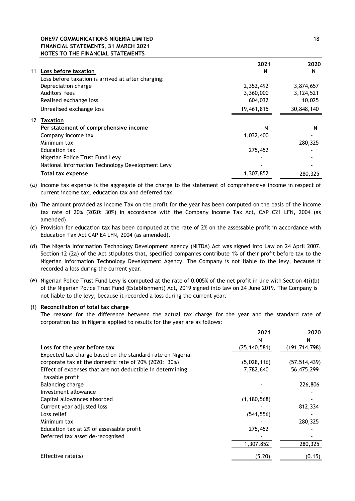## **ONE97 COMMUNICATIONS NIGERIA LIMITED** 18 **FINANCIAL STATEMENTS, 31 MARCH 2021 NOTES TO THE FINANCIAL STATEMENTS**

|    |                                                    | 2021       | 2020       |
|----|----------------------------------------------------|------------|------------|
| 11 | Loss before taxation                               | N          | N          |
|    | Loss before taxation is arrived at after charging: |            |            |
|    | Depreciation charge                                | 2,352,492  | 3,874,657  |
|    | Auditors' fees                                     | 3,360,000  | 3,124,521  |
|    | Realised exchange loss                             | 604,032    | 10,025     |
|    | Unrealised exchange loss                           | 19,461,815 | 30,848,140 |
| 12 | Taxation                                           |            |            |
|    | Per statement of comprehensive income              | N          | N          |
|    | Company income tax                                 | 1,032,400  |            |
|    | Minimum tax                                        |            | 280,325    |
|    | Education tax                                      | 275,452    |            |
|    | Nigerian Police Trust Fund Levy                    |            |            |
|    | National Information Technology Development Levy   |            |            |
|    | Total tax expense                                  | 1,307,852  | 280,325    |

(a) Income tax expense is the aggregate of the charge to the statement of comprehensive income in respect of current income tax, education tax and deferred tax.

- (b) The amount provided as Income Tax on the profit for the year has been computed on the basis of the income tax rate of 20% (2020: 30%) in accordance with the Company Income Tax Act, CAP C21 LFN, 2004 (as amended).
- (c) Provision for education tax has been computed at the rate of 2% on the assessable profit in accordance with Education Tax Act CAP E4 LFN, 2004 (as amended).
- (d) The Nigeria Information Technology Development Agency (NITDA) Act was signed into Law on 24 April 2007. Section 12 (2a) of the Act stipulates that, specified companies contribute 1% of their profit before tax to the Nigerian Information Technology Development Agency. The Company is not liable to the levy, because it recorded a loss during the current year.
- (e) Nigerian Police Trust Fund Levy is computed at the rate of 0.005% of the net profit in line with Section 4(i)(b) of the Nigerian Police Trust Fund (Establishment) Act, 2019 signed into law on 24 June 2019. The Company is not liable to the levy, because it recorded a loss during the current year.

#### (f) **Reconciliation of total tax charge**

The reasons for the difference between the actual tax charge for the year and the standard rate of corporation tax in Nigeria applied to results for the year are as follows:

|                                                                             | 2021           | 2020            |
|-----------------------------------------------------------------------------|----------------|-----------------|
|                                                                             | N              | N               |
| Loss for the year before tax                                                | (25, 140, 581) | (191, 714, 798) |
| Expected tax charge based on the standard rate on Nigeria                   |                |                 |
| corporate tax at the domestic rate of 20% (2020: 30%)                       | (5,028,116)    | (57, 514, 439)  |
| Effect of expenses that are not deductible in determining<br>taxable profit | 7,782,640      | 56,475,299      |
| Balancing charge                                                            |                | 226,806         |
| Investment allowance                                                        |                |                 |
| Capital allowances absorbed                                                 | (1, 180, 568)  |                 |
| Current year adjusted loss                                                  |                | 812,334         |
| Loss relief                                                                 | (541, 556)     |                 |
| Minimum tax                                                                 |                | 280,325         |
| Education tax at 2% of assessable profit                                    | 275,452        |                 |
| Deferred tax asset de-recognised                                            |                |                 |
|                                                                             | 1,307,852      | 280,325         |
| Effective rate $(\%)$                                                       | (5.20)         | (0.15)          |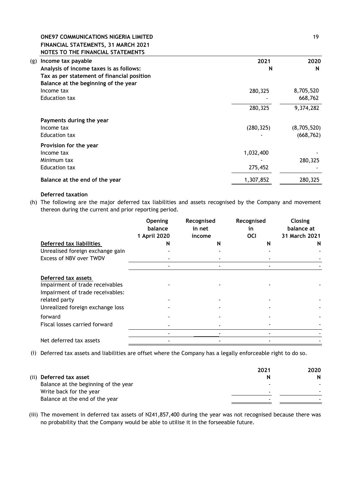#### **ONE97 COMMUNICATIONS NIGERIA LIMITED** 19 **FINANCIAL STATEMENTS, 31 MARCH 2021 NOTES TO THE FINANCIAL STATEMENTS**

| Income tax payable<br>(g)                  | 2021       | 2020        |
|--------------------------------------------|------------|-------------|
| Analysis of income taxes is as follows:    | N          | N           |
| Tax as per statement of financial position |            |             |
| Balance at the beginning of the year       |            |             |
| Income tax                                 | 280,325    | 8,705,520   |
| Education tax                              |            | 668,762     |
|                                            | 280,325    | 9,374,282   |
| Payments during the year                   |            |             |
| Income tax                                 | (280, 325) | (8,705,520) |
| Education tax                              |            | (668, 762)  |
| Provision for the year                     |            |             |
| Income tax                                 | 1,032,400  |             |
| Minimum tax                                |            | 280,325     |
| Education tax                              | 275,452    |             |
| Balance at the end of the year             | 1,307,852  | 280,325     |

## **Deferred taxation**

(h) The following are the major deferred tax liabilities and assets recognised by the Company and movement thereon during the current and prior reporting period.

|                                                                                            | Opening<br>balance<br>1 April 2020 | Recognised<br>in net<br>income | Recognised<br>in<br><b>OCI</b> | Closing<br>balance at<br>31 March 2021 |
|--------------------------------------------------------------------------------------------|------------------------------------|--------------------------------|--------------------------------|----------------------------------------|
| Deferred tax liabilities                                                                   | N                                  | N                              | N                              | N                                      |
| Unrealised foreign exchange gain                                                           |                                    |                                |                                |                                        |
| Excess of NBV over TWDV                                                                    |                                    |                                |                                |                                        |
|                                                                                            |                                    |                                |                                |                                        |
| Deferred tax assets<br>Impairment of trade receivables<br>Impairment of trade receivables: |                                    |                                |                                |                                        |
| related party                                                                              |                                    |                                |                                |                                        |
| Unrealized foreign exchange loss                                                           |                                    |                                |                                |                                        |
| forward                                                                                    |                                    |                                |                                |                                        |
| Fiscal losses carried forward                                                              |                                    |                                |                                |                                        |
|                                                                                            |                                    |                                |                                |                                        |
| Net deferred tax assets                                                                    |                                    |                                |                                |                                        |

(i) Deferred tax assets and liabilities are offset where the Company has a legally enforceable right to do so.

|                                      | 2021                     | 2020 |
|--------------------------------------|--------------------------|------|
| (ii) Deferred tax asset              |                          | N    |
| Balance at the beginning of the year | $\blacksquare$           |      |
| Write back for the year              |                          |      |
| Balance at the end of the year       | $\overline{\phantom{a}}$ |      |

(iii) The movement in deferred tax assets of N241,857,400 during the year was not recognised because there was no probability that the Company would be able to utilise it in the forseeable future.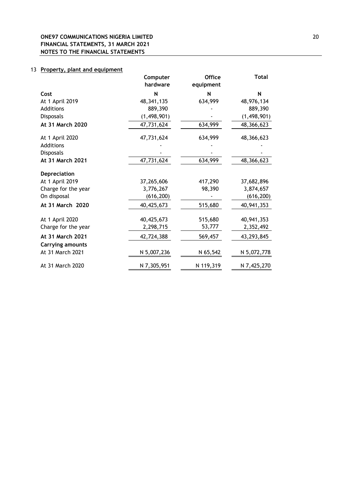# 13 **Property, plant and equipment**

|                         | Computer<br>hardware | <b>Office</b><br>equipment | <b>Total</b>  |
|-------------------------|----------------------|----------------------------|---------------|
| Cost                    | N                    | N                          | N             |
| At 1 April 2019         | 48, 341, 135         | 634,999                    | 48,976,134    |
| Additions               | 889,390              |                            | 889,390       |
| Disposals               | (1, 498, 901)        |                            | (1, 498, 901) |
| At 31 March 2020        | 47,731,624           | 634,999                    | 48,366,623    |
| At 1 April 2020         | 47,731,624           | 634,999                    | 48,366,623    |
| Additions               |                      |                            |               |
| <b>Disposals</b>        |                      |                            |               |
| At 31 March 2021        | 47,731,624           | 634,999                    | 48,366,623    |
| Depreciation            |                      |                            |               |
| At 1 April 2019         | 37,265,606           | 417,290                    | 37,682,896    |
| Charge for the year     | 3,776,267            | 98,390                     | 3,874,657     |
| On disposal             | (616, 200)           |                            | (616, 200)    |
| At 31 March 2020        | 40,425,673           | 515,680                    | 40,941,353    |
| At 1 April 2020         | 40,425,673           | 515,680                    | 40,941,353    |
| Charge for the year     | 2,298,715            | 53,777                     | 2,352,492     |
| At 31 March 2021        | 42,724,388           | 569,457                    | 43,293,845    |
| <b>Carrying amounts</b> |                      |                            |               |
| At 31 March 2021        | N 5,007,236          | N 65,542                   | N 5,072,778   |
| At 31 March 2020        | N 7,305,951          | N 119,319                  | N 7,425,270   |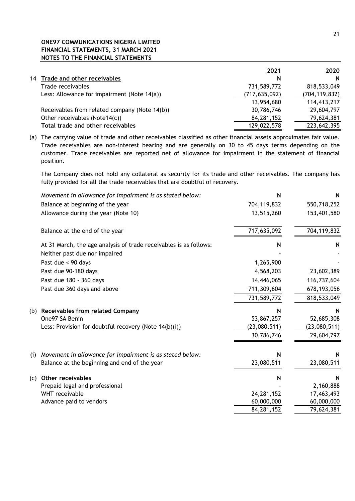# **ONE97 COMMUNICATIONS NIGERIA LIMITED FINANCIAL STATEMENTS, 31 MARCH 2021 NOTES TO THE FINANCIAL STATEMENTS**

|    |                                               | 2021            | 2020            |
|----|-----------------------------------------------|-----------------|-----------------|
| 14 | Trade and other receivables                   | N               | N               |
|    | Trade receivables                             | 731,589,772     | 818,533,049     |
|    | Less: Allowance for impairment (Note 14(a))   | (717, 635, 092) | (704, 119, 832) |
|    |                                               | 13,954,680      | 114,413,217     |
|    | Receivables from related company (Note 14(b)) | 30,786,746      | 29,604,797      |
|    | Other receivables (Note14(c))                 | 84,281,152      | 79,624,381      |
|    | Total trade and other receivables             | 129,022,578     | 223,642,395     |

(a) The carrying value of trade and other receivables classified as other financial assets approximates fair value. Trade receivables are non-interest bearing and are generally on 30 to 45 days terms depending on the customer. Trade receivables are reported net of allowance for impairment in the statement of financial position.

The Company does not hold any collateral as security for its trade and other receivables. The company has fully provided for all the trade receivables that are doubtful of recovery.

|     | Movement in allowance for impairment is as stated below:          | N            | N             |
|-----|-------------------------------------------------------------------|--------------|---------------|
|     | Balance at beginning of the year                                  | 704,119,832  | 550,718,252   |
|     | Allowance during the year (Note 10)                               | 13,515,260   | 153,401,580   |
|     | Balance at the end of the year                                    | 717,635,092  | 704,119,832   |
|     | At 31 March, the age analysis of trade receivables is as follows: | N            | N             |
|     | Neither past due nor impaired                                     |              |               |
|     | Past due < 90 days                                                | 1,265,900    |               |
|     | Past due 90-180 days                                              | 4,568,203    | 23,602,389    |
|     | Past due 180 - 360 days                                           | 14,446,065   | 116,737,604   |
|     | Past due 360 days and above                                       | 711,309,604  | 678, 193, 056 |
|     |                                                                   | 731,589,772  | 818,533,049   |
| (b) | <b>Receivables from related Company</b>                           | N            | N             |
|     | One97 SA Benin                                                    | 53,867,257   | 52,685,308    |
|     | Less: Provision for doubtful recovery (Note 14(b)(i))             | (23,080,511) | (23,080,511)  |
|     |                                                                   | 30,786,746   | 29,604,797    |
| (i) | Movement in allowance for impairment is as stated below:          | N            | N             |
|     | Balance at the beginning and end of the year                      | 23,080,511   | 23,080,511    |
| (C) | <b>Other receivables</b>                                          | N            | N             |
|     | Prepaid legal and professional                                    |              | 2,160,888     |
|     | WHT receivable                                                    | 24,281,152   | 17,463,493    |
|     | Advance paid to vendors                                           | 60,000,000   | 60,000,000    |
|     |                                                                   | 84,281,152   | 79,624,381    |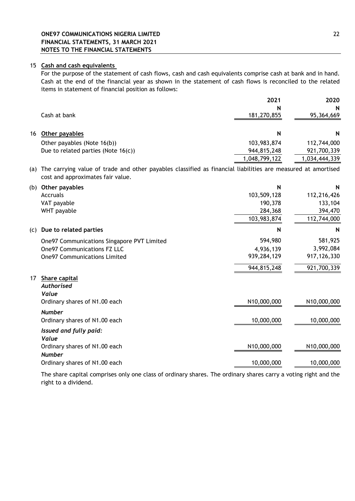#### 15 **Cash and cash equivalents**

For the purpose of the statement of cash flows, cash and cash equivalents comprise cash at bank and in hand. Cash at the end of the financial year as shown in the statement of cash flows is reconciled to the related items in statement of financial position as follows:

|                                        | 2021          | 2020          |
|----------------------------------------|---------------|---------------|
|                                        | N             | N             |
| Cash at bank                           | 181,270,855   | 95,364,669    |
|                                        |               |               |
| 16 Other payables                      | N             | N             |
| Other payables (Note 16(b))            | 103,983,874   | 112,744,000   |
| Due to related parties (Note $16(c)$ ) | 944,815,248   | 921,700,339   |
|                                        | 1,048,799,122 | 1,034,444,339 |

(a) The carrying value of trade and other payables classified as financial liabilities are measured at amortised cost and approximates fair value.

| (b) | Other payables                             | N           | $\mathsf{N}$  |
|-----|--------------------------------------------|-------------|---------------|
|     | Accruals                                   | 103,509,128 | 112,216,426   |
|     | VAT payable                                | 190,378     | 133,104       |
|     | WHT payable                                | 284,368     | 394,470       |
|     |                                            | 103,983,874 | 112,744,000   |
| (c) | Due to related parties                     | N           | N             |
|     | One97 Communications Singapore PVT Limited | 594,980     | 581,925       |
|     | <b>One97 Communications FZ LLC</b>         | 4,936,139   | 3,992,084     |
|     | <b>One97 Communications Limited</b>        | 939,284,129 | 917, 126, 330 |
|     |                                            | 944,815,248 | 921,700,339   |
| 17  | Share capital                              |             |               |
|     | <b>Authorised</b>                          |             |               |
|     | Value                                      |             |               |
|     | Ordinary shares of N1.00 each              | N10,000,000 | N10,000,000   |
|     | <b>Number</b>                              |             |               |
|     | Ordinary shares of N1.00 each              | 10,000,000  | 10,000,000    |
|     | Issued and fully paid:                     |             |               |
|     | Value                                      |             |               |
|     | Ordinary shares of N1.00 each              | N10,000,000 | N10,000,000   |
|     | <b>Number</b>                              |             |               |
|     | Ordinary shares of N1.00 each              | 10,000,000  | 10,000,000    |
|     |                                            |             |               |

The share capital comprises only one class of ordinary shares. The ordinary shares carry a voting right and the right to a dividend.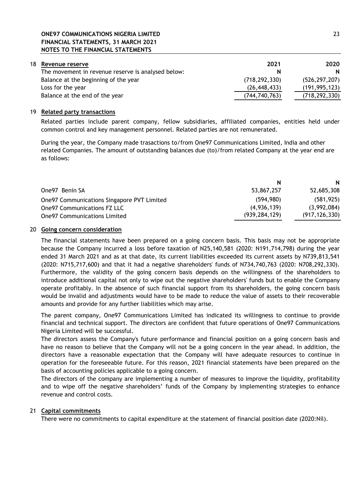# **ONE97 COMMUNICATIONS NIGERIA LIMITED** 23 **FINANCIAL STATEMENTS, 31 MARCH 2021 NOTES TO THE FINANCIAL STATEMENTS**

| 18. | Revenue reserve                                    | 2021            | 2020            |
|-----|----------------------------------------------------|-----------------|-----------------|
|     | The movement in revenue reserve is analysed below: | N               | N               |
|     | Balance at the beginning of the year               | (718, 292, 330) | (526, 297, 207) |
|     | Loss for the year                                  | (26, 448, 433)  | (191, 995, 123) |
|     | Balance at the end of the year                     | (744,740,763)   | (718, 292, 330) |

## 19 **Related party transactions**

Related parties include parent company, fellow subsidiaries, affiliated companies, entities held under common control and key management personnel. Related parties are not remunerated.

During the year, the Company made trasactions to/from One97 Communications Limited, India and other related Companies. The amount of outstanding balances due (to)/from related Company at the year end are as follows:

| N               | N               |
|-----------------|-----------------|
| 53,867,257      | 52,685,308      |
| (594, 980)      | (581, 925)      |
| (4,936,139)     | (3,992,084)     |
| (939, 284, 129) | (917, 126, 330) |
|                 |                 |

## 20 **Going concern consideration**

The financial statements have been prepared on a going concern basis. This basis may not be appropriate because the Company incurred a loss before taxation of N25,140,581 (2020: N191,714,798) during the year ended 31 March 2021 and as at that date, its current liabilities exceeded its current assets by N739,813,541 (2020: N715,717,600) and that it had a negative shareholders' funds of N734,740,763 (2020: N708,292,330). Furthermore, the validity of the going concern basis depends on the willingness of the shareholders to introduce additional capital not only to wipe out the negative shareholders' funds but to enable the Company operate profitably. In the absence of such financial support from its shareholders, the going concern basis would be invalid and adjustments would have to be made to reduce the value of assets to their recoverable amounts and provide for any further liabilities which may arise.

The parent company, One97 Communications Limited has indicated its willingness to continue to provide financial and technical support. The directors are confident that future operations of One97 Communications Nigeria Limited will be successful.

The directors assess the Company's future performance and financial position on a going concern basis and have no reason to believe that the Company will not be a going concern in the year ahead. In addition, the directors have a reasonable expectation that the Company will have adequate resources to continue in operation for the foreseeable future. For this reason, 2021 financial statements have been prepared on the basis of accounting policies applicable to a going concern.

The directors of the company are implementing a number of measures to improve the liquidity, profitability and to wipe off the negative shareholders' funds of the Company by implementing strategies to enhance revenue and control costs.

## 21 **Capital commitments**

There were no commitments to capital expenditure at the statement of financial position date (2020:Nil).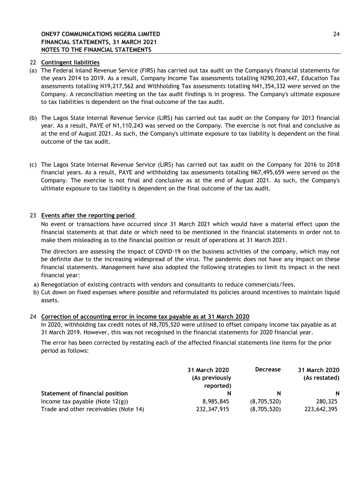# 22 **Contingent liabilities**

- (a) The Federal Inland Revenue Service (FIRS) has carried out tax audit on the Company's financial statements for the years 2014 to 2019. As a result, Company Income Tax assessments totalling N290,203,447, Education Tax assessments totalling N19,217,562 and Withholding Tax assessments totalling N41,354,332 were served on the Company. A reconciliation meeting on the tax audit findings is in progress. The Company's ultimate exposure to tax liabilities is dependent on the final outcome of the tax audit.
- (b) The Lagos State Internal Revenue Service (LIRS) has carried out tax audit on the Company for 2013 financial year. As a result, PAYE of N1,110,243 was served on the Company. The exercise is not final and conclusive as at the end of August 2021. As such, the Company's ultimate exposure to tax liability is dependent on the final outcome of the tax audit.
- (c) The Lagos State Internal Revenue Service (LIRS) has carried out tax audit on the Company for 2016 to 2018 financial years. As a result, PAYE and withholding tax assessments totalling N67,495,659 were served on the Company. The exercise is not final and conclusive as at the end of August 2021. As such, the Company's ultimate exposure to tax liability is dependent on the final outcome of the tax audit.

# 23 **Events after the reporting period**

No event or transactions have occurred since 31 March 2021 which would have a material effect upon the financial statements at that date or which need to be mentioned in the financial statements in order not to make them misleading as to the financial position or result of operations at 31 March 2021.

The directors are assessing the impact of COVID-19 on the business activities of the company, which may not be definite due to the increasing widespread of the virus. The pandemic does not have any impact on these financial statements. Management have also adopted the following strategies to limit its impact in the next financial year:

- a) Renegotiation of existing contracts with vendors and consultants to reduce commercials/fees.
- b) Cut down on fixed expenses where possible and reformulated its policies around incentives to maintain liquid assets.

## 24 **Correction of accounting error in income tax payable as at 31 March 2020**

In 2020, withholding tax credit notes of N8,705,520 were utilised to offset company income tax payable as at 31 March 2019. However, this was not recognised in the financial statements for 2020 financial year.

The error has been corrected by restating each of the affected financial statements line items for the prior period as follows:

|                                        | 31 March 2020<br>(As previously<br>reported) | <b>Decrease</b> | 31 March 2020<br>(As restated) |  |
|----------------------------------------|----------------------------------------------|-----------------|--------------------------------|--|
| <b>Statement of financial position</b> | N                                            | N               | N                              |  |
| Income tax payable (Note $12(g)$ )     | 8,985,845                                    | (8,705,520)     | 280,325                        |  |
| Trade and other receivables (Note 14)  | 232,347,915                                  | (8,705,520)     | 223,642,395                    |  |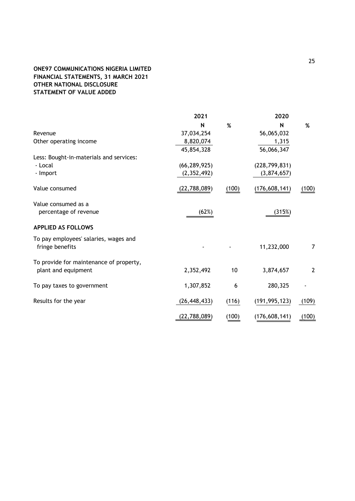# **ONE97 COMMUNICATIONS NIGERIA LIMITED FINANCIAL STATEMENTS, 31 MARCH 2021 OTHER NATIONAL DISCLOSURE STATEMENT OF VALUE ADDED**

|                                         | 2021           |       | 2020            |                |  |
|-----------------------------------------|----------------|-------|-----------------|----------------|--|
|                                         | N              | $\%$  | N               | $\%$           |  |
| Revenue                                 | 37,034,254     |       | 56,065,032      |                |  |
| Other operating income                  | 8,820,074      |       | 1,315           |                |  |
|                                         | 45,854,328     |       | 56,066,347      |                |  |
| Less: Bought-in-materials and services: |                |       |                 |                |  |
| - Local                                 | (66, 289, 925) |       | (228, 799, 831) |                |  |
| - Import                                | (2, 352, 492)  |       | (3,874,657)     |                |  |
| Value consumed                          | (22,788,089)   | (100) | (176, 608, 141) | (100)          |  |
| Value consumed as a                     |                |       |                 |                |  |
| percentage of revenue                   | (62%)          |       | (315%)          |                |  |
| <b>APPLIED AS FOLLOWS</b>               |                |       |                 |                |  |
| To pay employees' salaries, wages and   |                |       |                 |                |  |
| fringe benefits                         |                |       | 11,232,000      | 7              |  |
| To provide for maintenance of property, |                |       |                 |                |  |
| plant and equipment                     | 2,352,492      | 10    | 3,874,657       | $\overline{2}$ |  |
| To pay taxes to government              | 1,307,852      | 6     | 280,325         |                |  |
| Results for the year                    | (26, 448, 433) | (116) | (191, 995, 123) | (109)          |  |
|                                         |                |       |                 |                |  |
|                                         | (22,788,089)   | (100) | (176, 608, 141) | (100)          |  |